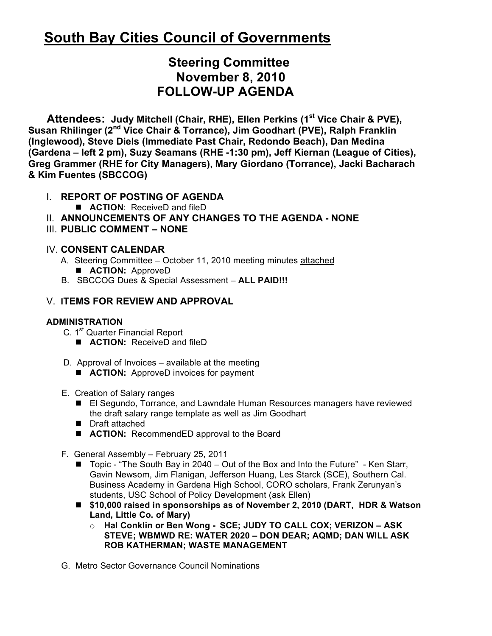# **South Bay Cities Council of Governments**

## **Steering Committee November 8, 2010 FOLLOW-UP AGENDA**

Attendees: Judy Mitchell (Chair, RHE), Ellen Perkins (1<sup>st</sup> Vice Chair & PVE), Susan Rhilinger (2<sup>nd</sup> Vice Chair & Torrance), Jim Goodhart (PVE), Ralph Franklin **(Inglewood), Steve Diels (Immediate Past Chair, Redondo Beach), Dan Medina (Gardena – left 2 pm), Suzy Seamans (RHE -1:30 pm), Jeff Kiernan (League of Cities), Greg Grammer (RHE for City Managers), Mary Giordano (Torrance), Jacki Bacharach & Kim Fuentes (SBCCOG)**

## I. **REPORT OF POSTING OF AGENDA**

- **ACTION:** ReceiveD and fileD
- II. **ANNOUNCEMENTS OF ANY CHANGES TO THE AGENDA NONE**
- III. **PUBLIC COMMENT NONE**

### IV. **CONSENT CALENDAR**

- A. Steering Committee October 11, 2010 meeting minutes attached **ACTION: ApproveD**
- B. SBCCOG Dues & Special Assessment **ALL PAID!!!**

## V. **ITEMS FOR REVIEW AND APPROVAL**

#### **ADMINISTRATION**

- C. 1<sup>st</sup> Quarter Financial Report
	- **ACTION:** ReceiveD and fileD
- D. Approval of Invoices available at the meeting
	- **ACTION:** ApproveD invoices for payment
- E. Creation of Salary ranges
	- El Segundo, Torrance, and Lawndale Human Resources managers have reviewed the draft salary range template as well as Jim Goodhart
	- Draft attached
	- **ACTION:** RecommendED approval to the Board
- F. General Assembly February 25, 2011
	- Topic "The South Bay in 2040 Out of the Box and Into the Future" Ken Starr, Gavin Newsom, Jim Flanigan, Jefferson Huang, Les Starck (SCE), Southern Cal. Business Academy in Gardena High School, CORO scholars, Frank Zerunyan's students, USC School of Policy Development (ask Ellen)
	- **\$10,000 raised in sponsorships as of November 2, 2010 (DART, HDR & Watson Land, Little Co. of Mary)**
		- o **Hal Conklin or Ben Wong - SCE; JUDY TO CALL COX; VERIZON ASK STEVE; WBMWD RE: WATER 2020 – DON DEAR; AQMD; DAN WILL ASK ROB KATHERMAN; WASTE MANAGEMENT**
- G. Metro Sector Governance Council Nominations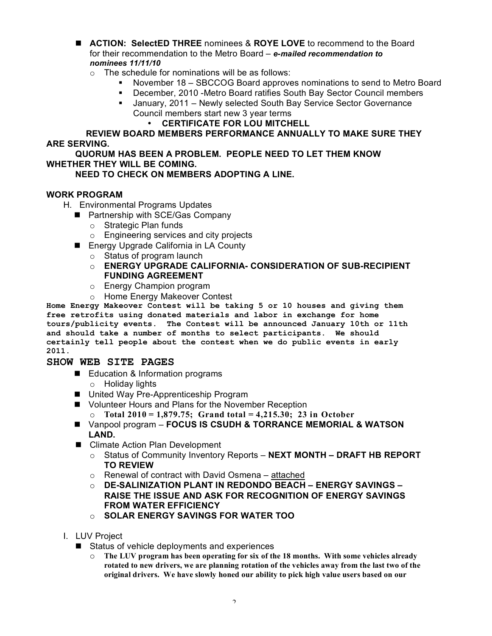- **ACTION: SelectED THREE** nominees & **ROYE LOVE** to recommend to the Board for their recommendation to the Metro Board – *e-mailed recommendation to nominees 11/11/10*
	- $\circ$  The schedule for nominations will be as follows:
		- November 18 SBCCOG Board approves nominations to send to Metro Board
		- December, 2010 -Metro Board ratifies South Bay Sector Council members
		- January, 2011 Newly selected South Bay Service Sector Governance Council members start new 3 year terms
			- **CERTIFICATE FOR LOU MITCHELL**

#### **REVIEW BOARD MEMBERS PERFORMANCE ANNUALLY TO MAKE SURE THEY ARE SERVING.**

#### **QUORUM HAS BEEN A PROBLEM. PEOPLE NEED TO LET THEM KNOW WHETHER THEY WILL BE COMING.**

#### **NEED TO CHECK ON MEMBERS ADOPTING A LINE.**

#### **WORK PROGRAM**

- H. Environmental Programs Updates
	- Partnership with SCE/Gas Company
		- o Strategic Plan funds
		- o Engineering services and city projects
	- Energy Upgrade California in LA County
		- o Status of program launch
		- o **ENERGY UPGRADE CALIFORNIA- CONSIDERATION OF SUB-RECIPIENT FUNDING AGREEMENT**
		- o Energy Champion program
		- o Home Energy Makeover Contest

**Home Energy Makeover Contest will be taking 5 or 10 houses and giving them free retrofits using donated materials and labor in exchange for home tours/publicity events. The Contest will be announced January 10th or 11th and should take a number of months to select participants. We should certainly tell people about the contest when we do public events in early 2011.**

#### **SHOW WEB SITE PAGES**

- Education & Information programs
	- o Holiday lights
- United Way Pre-Apprenticeship Program
- Volunteer Hours and Plans for the November Reception
	- o **Total 2010 = 1,879.75; Grand total = 4,215.30; 23 in October**
- Vanpool program **FOCUS IS CSUDH & TORRANCE MEMORIAL & WATSON LAND.**
- Climate Action Plan Development
	- o Status of Community Inventory Reports **NEXT MONTH DRAFT HB REPORT TO REVIEW**
	- $\circ$  Renewal of contract with David Osmena attached
	- o **DE-SALINIZATION PLANT IN REDONDO BEACH ENERGY SAVINGS – RAISE THE ISSUE AND ASK FOR RECOGNITION OF ENERGY SAVINGS FROM WATER EFFICIENCY**
	- o **SOLAR ENERGY SAVINGS FOR WATER TOO**
- I. LUV Project
	- Status of vehicle deployments and experiences
		- o **The LUV program has been operating for six of the 18 months. With some vehicles already rotated to new drivers, we are planning rotation of the vehicles away from the last two of the original drivers. We have slowly honed our ability to pick high value users based on our**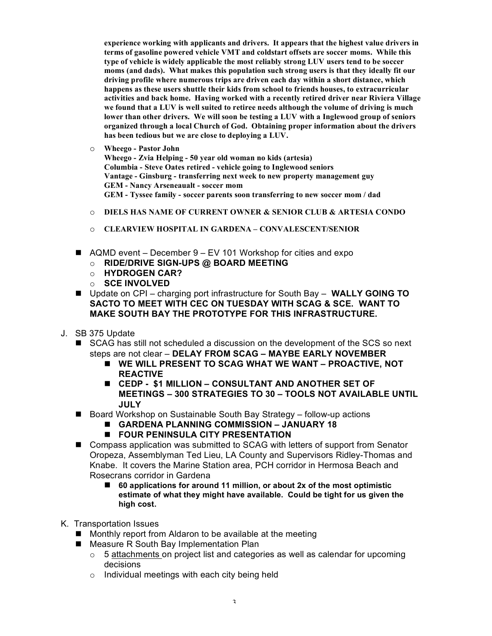**experience working with applicants and drivers. It appears that the highest value drivers in terms of gasoline powered vehicle VMT and coldstart offsets are soccer moms. While this type of vehicle is widely applicable the most reliably strong LUV users tend to be soccer moms (and dads). What makes this population such strong users is that they ideally fit our driving profile where numerous trips are driven each day within a short distance, which happens as these users shuttle their kids from school to friends houses, to extracurricular activities and back home. Having worked with a recently retired driver near Riviera Village we found that a LUV is well suited to retiree needs although the volume of driving is much lower than other drivers. We will soon be testing a LUV with a Inglewood group of seniors organized through a local Church of God. Obtaining proper information about the drivers has been tedious but we are close to deploying a LUV.**

o **Wheego - Pastor John**

**Wheego - Zvia Helping - 50 year old woman no kids (artesia) Columbia - Steve Oates retired - vehicle going to Inglewood seniors Vantage - Ginsburg - transferring next week to new property management guy GEM - Nancy Arseneaualt - soccer mom GEM - Tyssee family - soccer parents soon transferring to new soccer mom / dad**

- o **DIELS HAS NAME OF CURRENT OWNER & SENIOR CLUB & ARTESIA CONDO**
- o **CLEARVIEW HOSPITAL IN GARDENA CONVALESCENT/SENIOR**
- AQMD event December 9 EV 101 Workshop for cities and expo
	- o **RIDE/DRIVE SIGN-UPS @ BOARD MEETING**
	- o **HYDROGEN CAR?**
	- o **SCE INVOLVED**
- Update on CPI charging port infrastructure for South Bay **WALLY GOING TO SACTO TO MEET WITH CEC ON TUESDAY WITH SCAG & SCE. WANT TO MAKE SOUTH BAY THE PROTOTYPE FOR THIS INFRASTRUCTURE.**
- J. SB 375 Update
	- SCAG has still not scheduled a discussion on the development of the SCS so next steps are not clear – **DELAY FROM SCAG – MAYBE EARLY NOVEMBER**
		- **WE WILL PRESENT TO SCAG WHAT WE WANT PROACTIVE, NOT REACTIVE**
		- **CEDP \$1 MILLION CONSULTANT AND ANOTHER SET OF MEETINGS – 300 STRATEGIES TO 30 – TOOLS NOT AVAILABLE UNTIL JULY**
	- Board Workshop on Sustainable South Bay Strategy follow-up actions
		- **GARDENA PLANNING COMMISSION JANUARY 18**
		- **FOUR PENINSULA CITY PRESENTATION**
	- Compass application was submitted to SCAG with letters of support from Senator Oropeza, Assemblyman Ted Lieu, LA County and Supervisors Ridley-Thomas and Knabe. It covers the Marine Station area, PCH corridor in Hermosa Beach and Rosecrans corridor in Gardena
		- 60 applications for around 11 million, or about 2x of the most optimistic **estimate of what they might have available. Could be tight for us given the high cost.**
- K. Transportation Issues
	- **Monthly report from Aldaron to be available at the meeting**
	- Measure R South Bay Implementation Plan
		- $\circ$  5 attachments on project list and categories as well as calendar for upcoming decisions
		- $\circ$  Individual meetings with each city being held